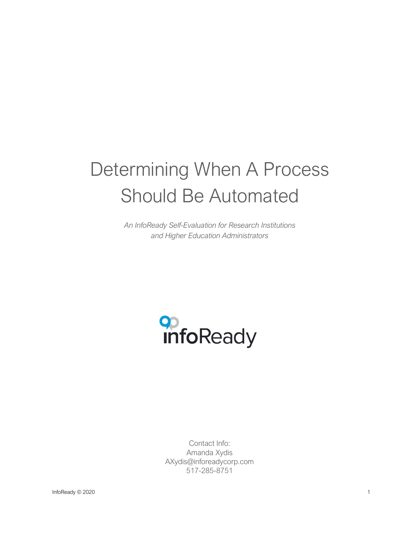# Determining When A Process Should Be Automated

*An InfoReady Self-Evaluation for Research Institutions and Higher Education Administrators*



Contact Info: Amanda Xydis AXydis@inforeadycorp.com 517-285-8751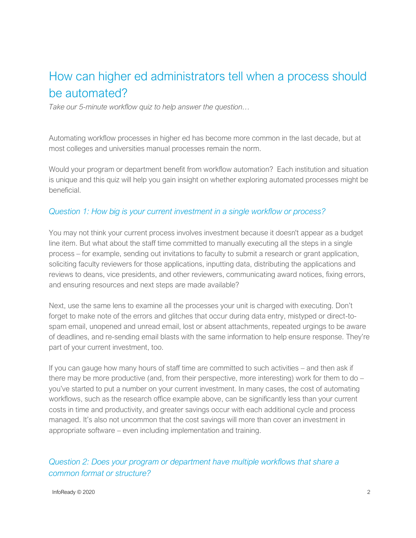# How can higher ed administrators tell when a process should be automated?

*Take our 5-minute workflow quiz to help answer the question…*

Automating workflow processes in higher ed has become more common in the last decade, but at most colleges and universities manual processes remain the norm.

Would your program or department benefit from workflow automation? Each institution and situation is unique and this quiz will help you gain insight on whether exploring automated processes might be beneficial.

#### *Question 1: How big is your current investment in a single workflow or process?*

You may not think your current process involves investment because it doesn't appear as a budget line item. But what about the staff time committed to manually executing all the steps in a single process – for example, sending out invitations to faculty to submit a research or grant application, soliciting faculty reviewers for those applications, inputting data, distributing the applications and reviews to deans, vice presidents, and other reviewers, communicating award notices, fixing errors, and ensuring resources and next steps are made available?

Next, use the same lens to examine all the processes your unit is charged with executing. Don't forget to make note of the errors and glitches that occur during data entry, mistyped or direct-tospam email, unopened and unread email, lost or absent attachments, repeated urgings to be aware of deadlines, and re-sending email blasts with the same information to help ensure response. They're part of your current investment, too.

If you can gauge how many hours of staff time are committed to such activities – and then ask if there may be more productive (and, from their perspective, more interesting) work for them to do – you've started to put a number on your current investment. In many cases, the cost of automating workflows, such as the research office example above, can be significantly less than your current costs in time and productivity, and greater savings occur with each additional cycle and process managed. It's also not uncommon that the cost savings will more than cover an investment in appropriate software – even including implementation and training.

*Question 2: Does your program or department have multiple workflows that share a common format or structure?*

 $InfoReadv \odot 2020$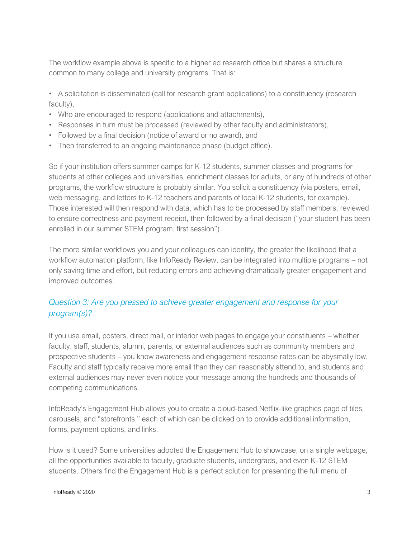The workflow example above is specific to a higher ed research office but shares a structure common to many college and university programs. That is:

- A solicitation is disseminated (call for research grant applications) to a constituency (research faculty),
- Who are encouraged to respond (applications and attachments),
- Responses in turn must be processed (reviewed by other faculty and administrators),
- Followed by a final decision (notice of award or no award), and
- Then transferred to an ongoing maintenance phase (budget office).

So if your institution offers summer camps for K-12 students, summer classes and programs for students at other colleges and universities, enrichment classes for adults, or any of hundreds of other programs, the workflow structure is probably similar. You solicit a constituency (via posters, email, web messaging, and letters to K-12 teachers and parents of local K-12 students, for example). Those interested will then respond with data, which has to be processed by staff members, reviewed to ensure correctness and payment receipt, then followed by a final decision ("your student has been enrolled in our summer STEM program, first session").

The more similar workflows you and your colleagues can identify, the greater the likelihood that a workflow automation platform, like InfoReady Review, can be integrated into multiple programs – not only saving time and effort, but reducing errors and achieving dramatically greater engagement and improved outcomes.

# *Question 3: Are you pressed to achieve greater engagement and response for your program(s)?*

If you use email, posters, direct mail, or interior web pages to engage your constituents – whether faculty, staff, students, alumni, parents, or external audiences such as community members and prospective students – you know awareness and engagement response rates can be abysmally low. Faculty and staff typically receive more email than they can reasonably attend to, and students and external audiences may never even notice your message among the hundreds and thousands of competing communications.

InfoReady's Engagement Hub allows you to create a cloud-based Netflix-like graphics page of tiles, carousels, and "storefronts," each of which can be clicked on to provide additional information, forms, payment options, and links.

How is it used? Some universities adopted the Engagement Hub to showcase, on a single webpage, all the opportunities available to faculty, graduate students, undergrads, and even K-12 STEM students. Others find the Engagement Hub is a perfect solution for presenting the full menu of